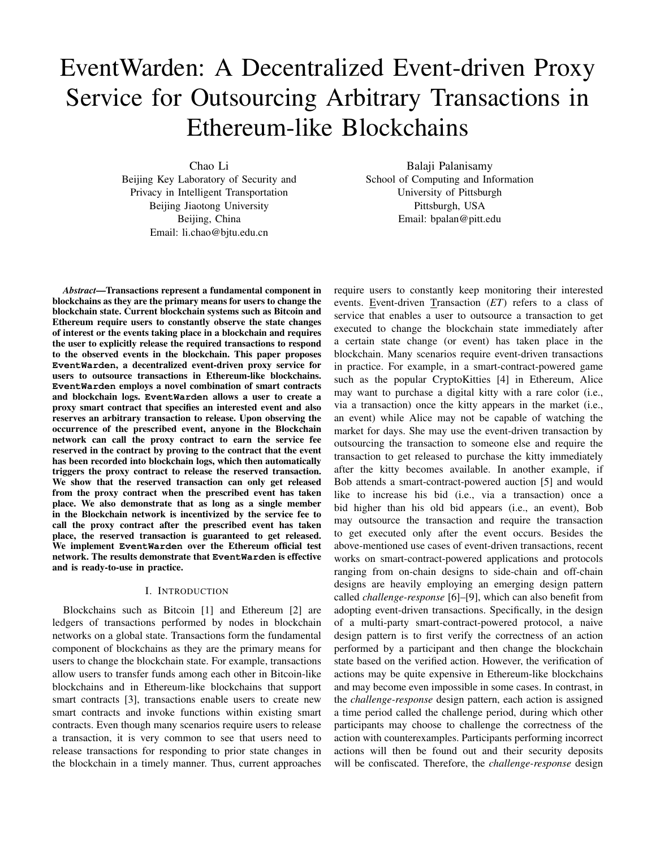# EventWarden: A Decentralized Event-driven Proxy Service for Outsourcing Arbitrary Transactions in Ethereum-like Blockchains

Chao Li

Beijing Key Laboratory of Security and Privacy in Intelligent Transportation Beijing Jiaotong University Beijing, China Email: li.chao@bjtu.edu.cn

*Abstract*—Transactions represent a fundamental component in blockchains as they are the primary means for users to change the blockchain state. Current blockchain systems such as Bitcoin and Ethereum require users to constantly observe the state changes of interest or the events taking place in a blockchain and requires the user to explicitly release the required transactions to respond to the observed events in the blockchain. This paper proposes **EventWarden**, a decentralized event-driven proxy service for users to outsource transactions in Ethereum-like blockchains. **EventWarden** employs a novel combination of smart contracts and blockchain logs. **EventWarden** allows a user to create a proxy smart contract that specifies an interested event and also reserves an arbitrary transaction to release. Upon observing the occurrence of the prescribed event, anyone in the Blockchain network can call the proxy contract to earn the service fee reserved in the contract by proving to the contract that the event has been recorded into blockchain logs, which then automatically triggers the proxy contract to release the reserved transaction. We show that the reserved transaction can only get released from the proxy contract when the prescribed event has taken place. We also demonstrate that as long as a single member in the Blockchain network is incentivized by the service fee to call the proxy contract after the prescribed event has taken place, the reserved transaction is guaranteed to get released. We implement **EventWarden** over the Ethereum official test network. The results demonstrate that **EventWarden** is effective and is ready-to-use in practice.

## I. INTRODUCTION

Blockchains such as Bitcoin [1] and Ethereum [2] are ledgers of transactions performed by nodes in blockchain networks on a global state. Transactions form the fundamental component of blockchains as they are the primary means for users to change the blockchain state. For example, transactions allow users to transfer funds among each other in Bitcoin-like blockchains and in Ethereum-like blockchains that support smart contracts [3], transactions enable users to create new smart contracts and invoke functions within existing smart contracts. Even though many scenarios require users to release a transaction, it is very common to see that users need to release transactions for responding to prior state changes in the blockchain in a timely manner. Thus, current approaches

Balaji Palanisamy School of Computing and Information University of Pittsburgh Pittsburgh, USA Email: bpalan@pitt.edu

require users to constantly keep monitoring their interested events. Event-driven Transaction (*ET*) refers to a class of service that enables a user to outsource a transaction to get executed to change the blockchain state immediately after a certain state change (or event) has taken place in the blockchain. Many scenarios require event-driven transactions in practice. For example, in a smart-contract-powered game such as the popular CryptoKitties [4] in Ethereum, Alice may want to purchase a digital kitty with a rare color (i.e., via a transaction) once the kitty appears in the market (i.e., an event) while Alice may not be capable of watching the market for days. She may use the event-driven transaction by outsourcing the transaction to someone else and require the transaction to get released to purchase the kitty immediately after the kitty becomes available. In another example, if Bob attends a smart-contract-powered auction [5] and would like to increase his bid (i.e., via a transaction) once a bid higher than his old bid appears (i.e., an event), Bob may outsource the transaction and require the transaction to get executed only after the event occurs. Besides the above-mentioned use cases of event-driven transactions, recent works on smart-contract-powered applications and protocols ranging from on-chain designs to side-chain and off-chain designs are heavily employing an emerging design pattern called *challenge-response* [6]–[9], which can also benefit from adopting event-driven transactions. Specifically, in the design of a multi-party smart-contract-powered protocol, a naive design pattern is to first verify the correctness of an action performed by a participant and then change the blockchain state based on the verified action. However, the verification of actions may be quite expensive in Ethereum-like blockchains and may become even impossible in some cases. In contrast, in the *challenge-response* design pattern, each action is assigned a time period called the challenge period, during which other participants may choose to challenge the correctness of the action with counterexamples. Participants performing incorrect actions will then be found out and their security deposits will be confiscated. Therefore, the *challenge-response* design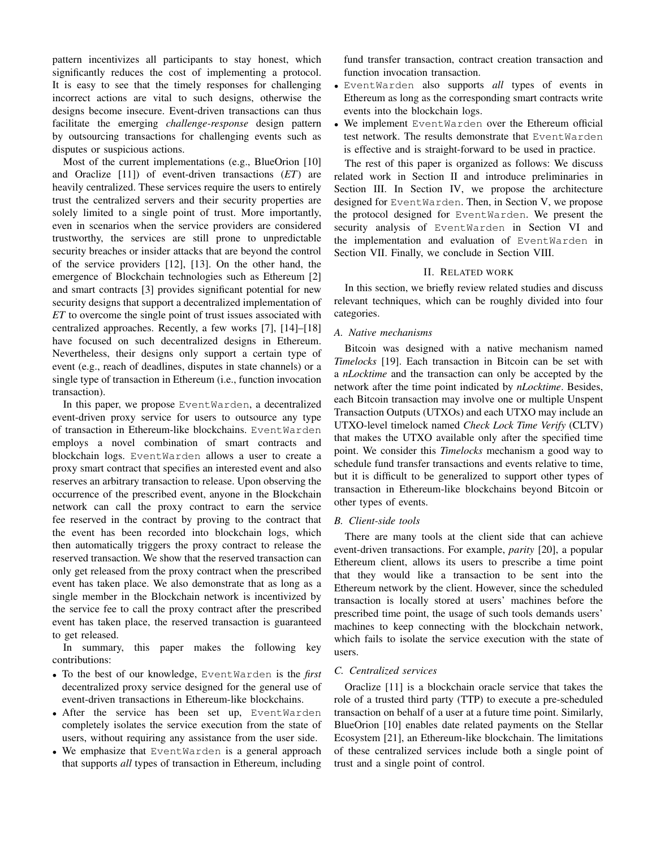pattern incentivizes all participants to stay honest, which significantly reduces the cost of implementing a protocol. It is easy to see that the timely responses for challenging incorrect actions are vital to such designs, otherwise the designs become insecure. Event-driven transactions can thus facilitate the emerging *challenge-response* design pattern by outsourcing transactions for challenging events such as disputes or suspicious actions.

Most of the current implementations (e.g., BlueOrion [10] and Oraclize [11]) of event-driven transactions (*ET*) are heavily centralized. These services require the users to entirely trust the centralized servers and their security properties are solely limited to a single point of trust. More importantly, even in scenarios when the service providers are considered trustworthy, the services are still prone to unpredictable security breaches or insider attacks that are beyond the control of the service providers [12], [13]. On the other hand, the emergence of Blockchain technologies such as Ethereum [2] and smart contracts [3] provides significant potential for new security designs that support a decentralized implementation of *ET* to overcome the single point of trust issues associated with centralized approaches. Recently, a few works [7], [14]–[18] have focused on such decentralized designs in Ethereum. Nevertheless, their designs only support a certain type of event (e.g., reach of deadlines, disputes in state channels) or a single type of transaction in Ethereum (i.e., function invocation transaction).

In this paper, we propose EventWarden, a decentralized event-driven proxy service for users to outsource any type of transaction in Ethereum-like blockchains. EventWarden employs a novel combination of smart contracts and blockchain logs. EventWarden allows a user to create a proxy smart contract that specifies an interested event and also reserves an arbitrary transaction to release. Upon observing the occurrence of the prescribed event, anyone in the Blockchain network can call the proxy contract to earn the service fee reserved in the contract by proving to the contract that the event has been recorded into blockchain logs, which then automatically triggers the proxy contract to release the reserved transaction. We show that the reserved transaction can only get released from the proxy contract when the prescribed event has taken place. We also demonstrate that as long as a single member in the Blockchain network is incentivized by the service fee to call the proxy contract after the prescribed event has taken place, the reserved transaction is guaranteed to get released.

In summary, this paper makes the following key contributions:

- To the best of our knowledge, EventWarden is the *first* decentralized proxy service designed for the general use of event-driven transactions in Ethereum-like blockchains.
- After the service has been set up, EventWarden completely isolates the service execution from the state of users, without requiring any assistance from the user side.
- We emphasize that EventWarden is a general approach that supports *all* types of transaction in Ethereum, including

fund transfer transaction, contract creation transaction and function invocation transaction.

- EventWarden also supports *all* types of events in Ethereum as long as the corresponding smart contracts write events into the blockchain logs.
- We implement EventWarden over the Ethereum official test network. The results demonstrate that EventWarden is effective and is straight-forward to be used in practice.

The rest of this paper is organized as follows: We discuss related work in Section II and introduce preliminaries in Section III. In Section IV, we propose the architecture designed for EventWarden. Then, in Section V, we propose the protocol designed for EventWarden. We present the security analysis of EventWarden in Section VI and the implementation and evaluation of EventWarden in Section VII. Finally, we conclude in Section VIII.

## II. RELATED WORK

In this section, we briefly review related studies and discuss relevant techniques, which can be roughly divided into four categories.

## *A. Native mechanisms*

Bitcoin was designed with a native mechanism named *Timelocks* [19]. Each transaction in Bitcoin can be set with a *nLocktime* and the transaction can only be accepted by the network after the time point indicated by *nLocktime*. Besides, each Bitcoin transaction may involve one or multiple Unspent Transaction Outputs (UTXOs) and each UTXO may include an UTXO-level timelock named *Check Lock Time Verify* (CLTV) that makes the UTXO available only after the specified time point. We consider this *Timelocks* mechanism a good way to schedule fund transfer transactions and events relative to time, but it is difficult to be generalized to support other types of transaction in Ethereum-like blockchains beyond Bitcoin or other types of events.

## *B. Client-side tools*

There are many tools at the client side that can achieve event-driven transactions. For example, *parity* [20], a popular Ethereum client, allows its users to prescribe a time point that they would like a transaction to be sent into the Ethereum network by the client. However, since the scheduled transaction is locally stored at users' machines before the prescribed time point, the usage of such tools demands users' machines to keep connecting with the blockchain network, which fails to isolate the service execution with the state of users.

# *C. Centralized services*

Oraclize [11] is a blockchain oracle service that takes the role of a trusted third party (TTP) to execute a pre-scheduled transaction on behalf of a user at a future time point. Similarly, BlueOrion [10] enables date related payments on the Stellar Ecosystem [21], an Ethereum-like blockchain. The limitations of these centralized services include both a single point of trust and a single point of control.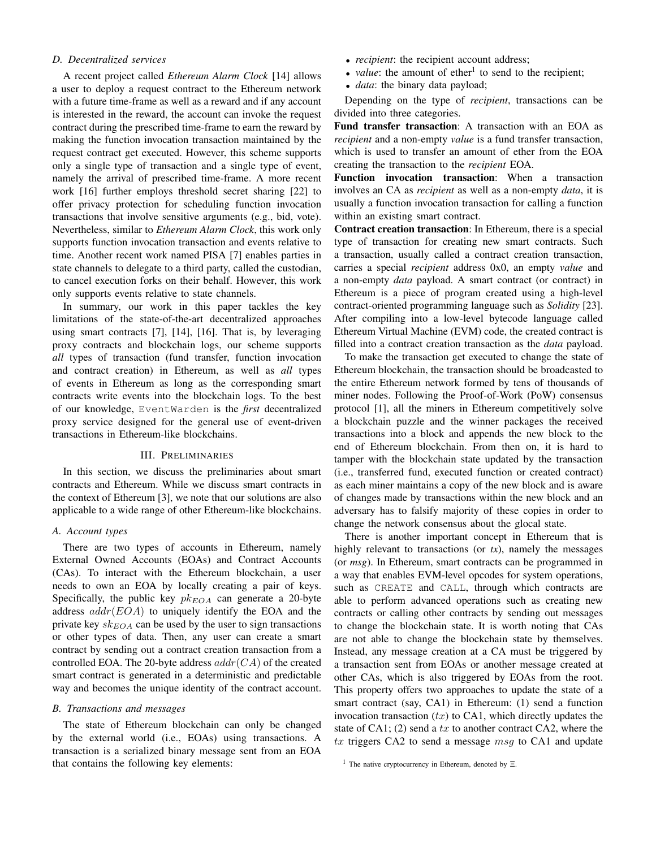## *D. Decentralized services*

A recent project called *Ethereum Alarm Clock* [14] allows a user to deploy a request contract to the Ethereum network with a future time-frame as well as a reward and if any account is interested in the reward, the account can invoke the request contract during the prescribed time-frame to earn the reward by making the function invocation transaction maintained by the request contract get executed. However, this scheme supports only a single type of transaction and a single type of event, namely the arrival of prescribed time-frame. A more recent work [16] further employs threshold secret sharing [22] to offer privacy protection for scheduling function invocation transactions that involve sensitive arguments (e.g., bid, vote). Nevertheless, similar to *Ethereum Alarm Clock*, this work only supports function invocation transaction and events relative to time. Another recent work named PISA [7] enables parties in state channels to delegate to a third party, called the custodian, to cancel execution forks on their behalf. However, this work only supports events relative to state channels.

In summary, our work in this paper tackles the key limitations of the state-of-the-art decentralized approaches using smart contracts [7], [14], [16]. That is, by leveraging proxy contracts and blockchain logs, our scheme supports *all* types of transaction (fund transfer, function invocation and contract creation) in Ethereum, as well as *all* types of events in Ethereum as long as the corresponding smart contracts write events into the blockchain logs. To the best of our knowledge, EventWarden is the *first* decentralized proxy service designed for the general use of event-driven transactions in Ethereum-like blockchains.

## III. PRELIMINARIES

In this section, we discuss the preliminaries about smart contracts and Ethereum. While we discuss smart contracts in the context of Ethereum [3], we note that our solutions are also applicable to a wide range of other Ethereum-like blockchains.

## *A. Account types*

There are two types of accounts in Ethereum, namely External Owned Accounts (EOAs) and Contract Accounts (CAs). To interact with the Ethereum blockchain, a user needs to own an EOA by locally creating a pair of keys. Specifically, the public key  $pk_{EOA}$  can generate a 20-byte address  $addr(EOA)$  to uniquely identify the EOA and the private key  $s k_{EOA}$  can be used by the user to sign transactions or other types of data. Then, any user can create a smart contract by sending out a contract creation transaction from a controlled EOA. The 20-byte address  $addr(CA)$  of the created smart contract is generated in a deterministic and predictable way and becomes the unique identity of the contract account.

#### *B. Transactions and messages*

The state of Ethereum blockchain can only be changed by the external world (i.e., EOAs) using transactions. A transaction is a serialized binary message sent from an EOA that contains the following key elements:

- *recipient*: the recipient account address;
- *value*: the amount of ether<sup>1</sup> to send to the recipient;
- *data*: the binary data payload;

Depending on the type of *recipient*, transactions can be divided into three categories.

Fund transfer transaction: A transaction with an EOA as *recipient* and a non-empty *value* is a fund transfer transaction, which is used to transfer an amount of ether from the EOA creating the transaction to the *recipient* EOA.

Function invocation transaction: When a transaction involves an CA as *recipient* as well as a non-empty *data*, it is usually a function invocation transaction for calling a function within an existing smart contract.

Contract creation transaction: In Ethereum, there is a special type of transaction for creating new smart contracts. Such a transaction, usually called a contract creation transaction, carries a special *recipient* address 0x0, an empty *value* and a non-empty *data* payload. A smart contract (or contract) in Ethereum is a piece of program created using a high-level contract-oriented programming language such as *Solidity* [23]. After compiling into a low-level bytecode language called Ethereum Virtual Machine (EVM) code, the created contract is filled into a contract creation transaction as the *data* payload.

To make the transaction get executed to change the state of Ethereum blockchain, the transaction should be broadcasted to the entire Ethereum network formed by tens of thousands of miner nodes. Following the Proof-of-Work (PoW) consensus protocol [1], all the miners in Ethereum competitively solve a blockchain puzzle and the winner packages the received transactions into a block and appends the new block to the end of Ethereum blockchain. From then on, it is hard to tamper with the blockchain state updated by the transaction (i.e., transferred fund, executed function or created contract) as each miner maintains a copy of the new block and is aware of changes made by transactions within the new block and an adversary has to falsify majority of these copies in order to change the network consensus about the glocal state.

There is another important concept in Ethereum that is highly relevant to transactions (or *tx*), namely the messages (or *msg*). In Ethereum, smart contracts can be programmed in a way that enables EVM-level opcodes for system operations, such as CREATE and CALL, through which contracts are able to perform advanced operations such as creating new contracts or calling other contracts by sending out messages to change the blockchain state. It is worth noting that CAs are not able to change the blockchain state by themselves. Instead, any message creation at a CA must be triggered by a transaction sent from EOAs or another message created at other CAs, which is also triggered by EOAs from the root. This property offers two approaches to update the state of a smart contract (say, CA1) in Ethereum: (1) send a function invocation transaction  $(tx)$  to CA1, which directly updates the state of CA1; (2) send a  $tx$  to another contract CA2, where the  $tx$  triggers CA2 to send a message  $msg$  to CA1 and update

<sup>&</sup>lt;sup>1</sup> The native cryptocurrency in Ethereum, denoted by  $\Xi$ .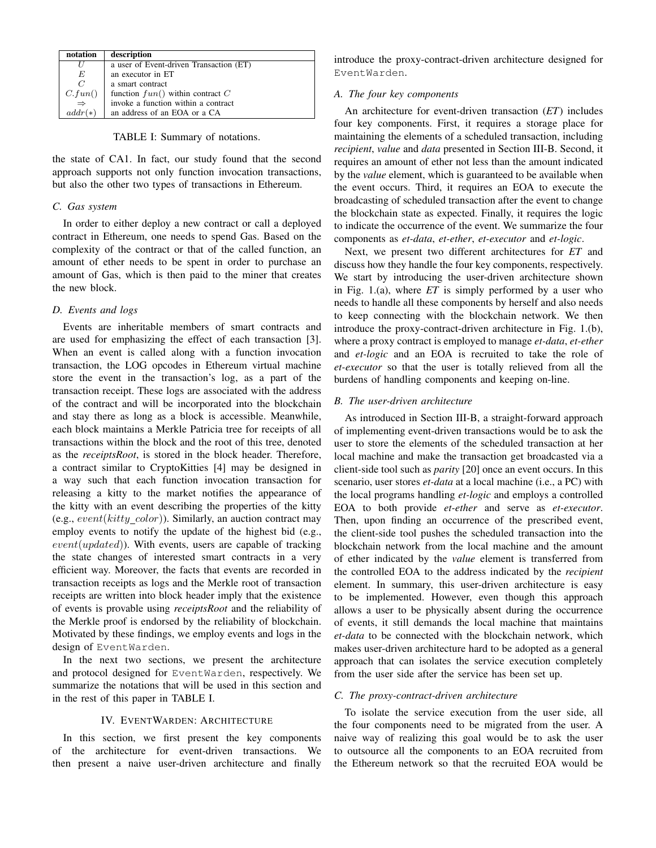| notation                                              | description                             |  |
|-------------------------------------------------------|-----------------------------------------|--|
|                                                       | a user of Event-driven Transaction (ET) |  |
| E                                                     | an executor in ET                       |  |
| $\overline{C}$                                        | a smart contract                        |  |
| $\begin{array}{c} C.fun() \\ \Rightarrow \end{array}$ | function $fun()$ within contract $C$    |  |
|                                                       | invoke a function within a contract     |  |
| $addr(*)$                                             | an address of an EOA or a CA            |  |

TABLE I: Summary of notations.

the state of CA1. In fact, our study found that the second approach supports not only function invocation transactions, but also the other two types of transactions in Ethereum.

## *C. Gas system*

In order to either deploy a new contract or call a deployed contract in Ethereum, one needs to spend Gas. Based on the complexity of the contract or that of the called function, an amount of ether needs to be spent in order to purchase an amount of Gas, which is then paid to the miner that creates the new block.

#### *D. Events and logs*

Events are inheritable members of smart contracts and are used for emphasizing the effect of each transaction [3]. When an event is called along with a function invocation transaction, the LOG opcodes in Ethereum virtual machine store the event in the transaction's log, as a part of the transaction receipt. These logs are associated with the address of the contract and will be incorporated into the blockchain and stay there as long as a block is accessible. Meanwhile, each block maintains a Merkle Patricia tree for receipts of all transactions within the block and the root of this tree, denoted as the *receiptsRoot*, is stored in the block header. Therefore, a contract similar to CryptoKitties [4] may be designed in a way such that each function invocation transaction for releasing a kitty to the market notifies the appearance of the kitty with an event describing the properties of the kitty (e.g.,  $event(kitty\_color)$ ). Similarly, an auction contract may employ events to notify the update of the highest bid (e.g.,  $event(updated))$ . With events, users are capable of tracking the state changes of interested smart contracts in a very efficient way. Moreover, the facts that events are recorded in transaction receipts as logs and the Merkle root of transaction receipts are written into block header imply that the existence of events is provable using *receiptsRoot* and the reliability of the Merkle proof is endorsed by the reliability of blockchain. Motivated by these findings, we employ events and logs in the design of EventWarden.

In the next two sections, we present the architecture and protocol designed for EventWarden, respectively. We summarize the notations that will be used in this section and in the rest of this paper in TABLE I.

## IV. EVENTWARDEN: ARCHITECTURE

In this section, we first present the key components of the architecture for event-driven transactions. We then present a naive user-driven architecture and finally introduce the proxy-contract-driven architecture designed for EventWarden.

## *A. The four key components*

An architecture for event-driven transaction (*ET*) includes four key components. First, it requires a storage place for maintaining the elements of a scheduled transaction, including *recipient*, *value* and *data* presented in Section III-B. Second, it requires an amount of ether not less than the amount indicated by the *value* element, which is guaranteed to be available when the event occurs. Third, it requires an EOA to execute the broadcasting of scheduled transaction after the event to change the blockchain state as expected. Finally, it requires the logic to indicate the occurrence of the event. We summarize the four components as *et-data*, *et-ether*, *et-executor* and *et-logic*.

Next, we present two different architectures for *ET* and discuss how they handle the four key components, respectively. We start by introducing the user-driven architecture shown in Fig. 1.(a), where *ET* is simply performed by a user who needs to handle all these components by herself and also needs to keep connecting with the blockchain network. We then introduce the proxy-contract-driven architecture in Fig. 1.(b), where a proxy contract is employed to manage *et-data*, *et-ether* and *et-logic* and an EOA is recruited to take the role of *et-executor* so that the user is totally relieved from all the burdens of handling components and keeping on-line.

## *B. The user-driven architecture*

As introduced in Section III-B, a straight-forward approach of implementing event-driven transactions would be to ask the user to store the elements of the scheduled transaction at her local machine and make the transaction get broadcasted via a client-side tool such as *parity* [20] once an event occurs. In this scenario, user stores *et-data* at a local machine (i.e., a PC) with the local programs handling *et-logic* and employs a controlled EOA to both provide *et-ether* and serve as *et-executor*. Then, upon finding an occurrence of the prescribed event, the client-side tool pushes the scheduled transaction into the blockchain network from the local machine and the amount of ether indicated by the *value* element is transferred from the controlled EOA to the address indicated by the *recipient* element. In summary, this user-driven architecture is easy to be implemented. However, even though this approach allows a user to be physically absent during the occurrence of events, it still demands the local machine that maintains *et-data* to be connected with the blockchain network, which makes user-driven architecture hard to be adopted as a general approach that can isolates the service execution completely from the user side after the service has been set up.

#### *C. The proxy-contract-driven architecture*

To isolate the service execution from the user side, all the four components need to be migrated from the user. A naive way of realizing this goal would be to ask the user to outsource all the components to an EOA recruited from the Ethereum network so that the recruited EOA would be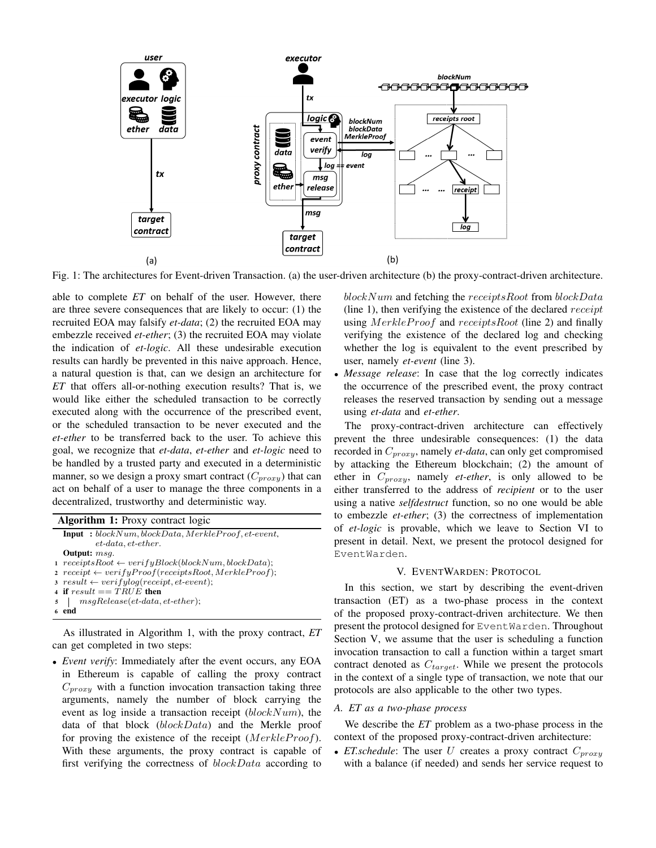

Fig. 1: The architectures for Event-driven Transaction. (a) the user-driven architecture (b) the proxy-contract-driven architecture.

able to complete *ET* on behalf of the user. However, there are three severe consequences that are likely to occur: (1) the recruited EOA may falsify *et-data*; (2) the recruited EOA may embezzle received *et-ether*; (3) the recruited EOA may violate the indication of *et-logic*. All these undesirable execution results can hardly be prevented in this naive approach. Hence, a natural question is that, can we design an architecture for *ET* that offers all-or-nothing execution results? That is, we would like either the scheduled transaction to be correctly executed along with the occurrence of the prescribed event, or the scheduled transaction to be never executed and the *et-ether* to be transferred back to the user. To achieve this goal, we recognize that *et-data*, *et-ether* and *et-logic* need to be handled by a trusted party and executed in a deterministic manner, so we design a proxy smart contract  $(C_{\text{proxy}})$  that can act on behalf of a user to manage the three components in a decentralized, trustworthy and deterministic way.

| Algorithm 1: Proxy contract logic |                                                                        |  |  |  |  |  |
|-----------------------------------|------------------------------------------------------------------------|--|--|--|--|--|
|                                   | $Input: blockNum, blockData, MerkleProof, et-event,$                   |  |  |  |  |  |
|                                   | $et\text{-}data, et\text{-}ether.$                                     |  |  |  |  |  |
|                                   | <b>Output:</b> msq.                                                    |  |  |  |  |  |
|                                   | $1 \text{ } receivesRoot \leftarrow verifyBlock(blockNum, blockData);$ |  |  |  |  |  |
|                                   | $\alpha$ receipt $\leftarrow verifyProof(receiptsRoot, MerkleProof);$  |  |  |  |  |  |
|                                   | $\sigma$ result $\leftarrow verifylog(receipt, et-event);$             |  |  |  |  |  |
|                                   | 4 if $result == TRUE$ then                                             |  |  |  |  |  |
|                                   | $5 \mid msgRelease (et-data, et-ether);$                               |  |  |  |  |  |
|                                   | end                                                                    |  |  |  |  |  |

As illustrated in Algorithm 1, with the proxy contract, *ET* can get completed in two steps:

• *Event verify*: Immediately after the event occurs, any EOA in Ethereum is capable of calling the proxy contract  $C_{proxy}$  with a function invocation transaction taking three arguments, namely the number of block carrying the event as log inside a transaction receipt  $(blockNum)$ , the data of that block (blockData) and the Merkle proof for proving the existence of the receipt  $(MerkleProof)$ . With these arguments, the proxy contract is capable of first verifying the correctness of blockData according to blockNum and fetching the receiptsRoot from blockData (line 1), then verifying the existence of the declared *receipt* using MerkleProof and receiptsRoot (line 2) and finally verifying the existence of the declared log and checking whether the log is equivalent to the event prescribed by user, namely *et-event* (line 3).

• *Message release*: In case that the log correctly indicates the occurrence of the prescribed event, the proxy contract releases the reserved transaction by sending out a message using *et-data* and *et-ether*.

The proxy-contract-driven architecture can effectively prevent the three undesirable consequences: (1) the data recorded in  $C_{proxy}$ , namely *et-data*, can only get compromised by attacking the Ethereum blockchain; (2) the amount of ether in  $C_{prox}$ , namely *et-ether*, is only allowed to be either transferred to the address of *recipient* or to the user using a native *selfdestruct* function, so no one would be able to embezzle *et-ether*; (3) the correctness of implementation of *et-logic* is provable, which we leave to Section VI to present in detail. Next, we present the protocol designed for EventWarden.

## V. EVENTWARDEN: PROTOCOL

In this section, we start by describing the event-driven transaction (ET) as a two-phase process in the context of the proposed proxy-contract-driven architecture. We then present the protocol designed for EventWarden. Throughout Section V, we assume that the user is scheduling a function invocation transaction to call a function within a target smart contract denoted as  $C_{target}$ . While we present the protocols in the context of a single type of transaction, we note that our protocols are also applicable to the other two types.

# *A. ET as a two-phase process*

We describe the *ET* problem as a two-phase process in the context of the proposed proxy-contract-driven architecture:

• *ET.schedule*: The user U creates a proxy contract  $C_{\text{prox}}$ with a balance (if needed) and sends her service request to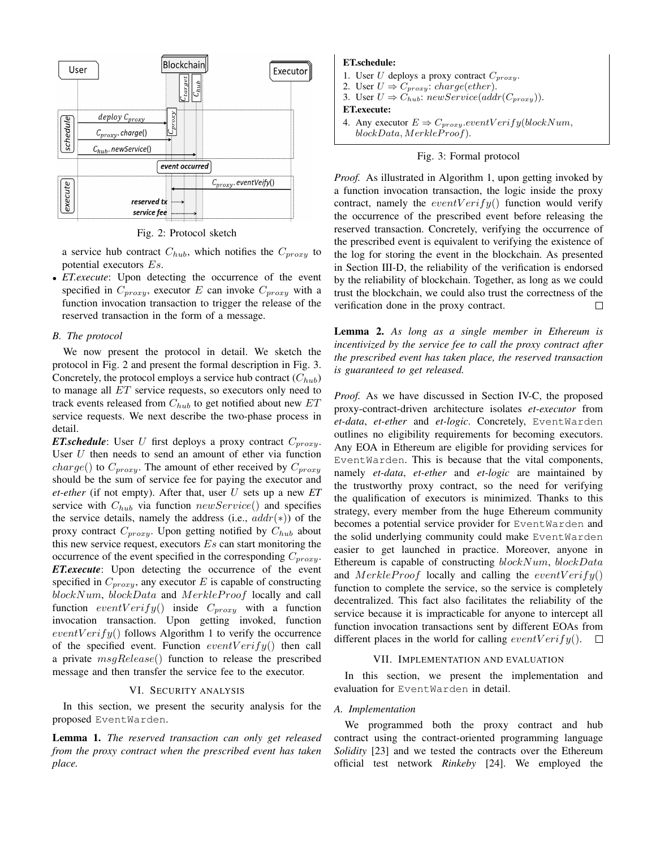

Fig. 2: Protocol sketch

a service hub contract  $C_{hub}$ , which notifies the  $C_{proxy}$  to potential executors Es.

• *ET.execute*: Upon detecting the occurrence of the event specified in  $C_{proxy}$ , executor E can invoke  $C_{proxy}$  with a function invocation transaction to trigger the release of the reserved transaction in the form of a message.

#### *B. The protocol*

We now present the protocol in detail. We sketch the protocol in Fig. 2 and present the formal description in Fig. 3. Concretely, the protocol employs a service hub contract  $(C_{hub})$ to manage all ET service requests, so executors only need to track events released from  $C_{hub}$  to get notified about new  $ET$ service requests. We next describe the two-phase process in detail.

*ET.schedule*: User  $U$  first deploys a proxy contract  $C_{proxy}$ . User  $U$  then needs to send an amount of ether via function *charge*() to  $C_{proxy}$ . The amount of ether received by  $C_{proxy}$ should be the sum of service fee for paying the executor and *et-ether* (if not empty). After that, user U sets up a new *ET* service with  $C_{hub}$  via function  $newService()$  and specifies the service details, namely the address (i.e.,  $addr(*)$ ) of the proxy contract  $C_{proxy}$ . Upon getting notified by  $C_{hub}$  about this new service request, executors  $Es$  can start monitoring the occurrence of the event specified in the corresponding  $C_{prox}$ . *ET.execute*: Upon detecting the occurrence of the event specified in  $C_{proxy}$ , any executor E is capable of constructing  $blockNum, blockData$  and  $MerkleProof$  locally and call function event Verify() inside  $C_{\text{proxy}}$  with a function invocation transaction. Upon getting invoked, function  $eventVerify()$  follows Algorithm 1 to verify the occurrence of the specified event. Function  $eventVerify()$  then call a private  $msgRelease()$  function to release the prescribed message and then transfer the service fee to the executor.

## VI. SECURITY ANALYSIS

In this section, we present the security analysis for the proposed EventWarden.

Lemma 1. *The reserved transaction can only get released from the proxy contract when the prescribed event has taken place.*

## ET.schedule:

- 1. User  $U$  deploys a proxy contract  $C_{proxy}$ .
- 2. User  $U \Rightarrow C_{proxy}$ : charge(ether).
- 3. User  $U \Rightarrow C_{hub}$ : new Service (addr( $C_{proxy}$ )).

#### ET.execute:

4. Any executor  $E \Rightarrow C_{proxy}.eventVerify (blockNum,$  $blockData, Merkle Proof).$ 

# Fig. 3: Formal protocol

*Proof.* As illustrated in Algorithm 1, upon getting invoked by a function invocation transaction, the logic inside the proxy contract, namely the  $eventVerify()$  function would verify the occurrence of the prescribed event before releasing the reserved transaction. Concretely, verifying the occurrence of the prescribed event is equivalent to verifying the existence of the log for storing the event in the blockchain. As presented in Section III-D, the reliability of the verification is endorsed by the reliability of blockchain. Together, as long as we could trust the blockchain, we could also trust the correctness of the verification done in the proxy contract. П

Lemma 2. *As long as a single member in Ethereum is incentivized by the service fee to call the proxy contract after the prescribed event has taken place, the reserved transaction is guaranteed to get released.*

*Proof.* As we have discussed in Section IV-C, the proposed proxy-contract-driven architecture isolates *et-executor* from *et-data*, *et-ether* and *et-logic*. Concretely, EventWarden outlines no eligibility requirements for becoming executors. Any EOA in Ethereum are eligible for providing services for EventWarden. This is because that the vital components, namely *et-data*, *et-ether* and *et-logic* are maintained by the trustworthy proxy contract, so the need for verifying the qualification of executors is minimized. Thanks to this strategy, every member from the huge Ethereum community becomes a potential service provider for EventWarden and the solid underlying community could make EventWarden easier to get launched in practice. Moreover, anyone in Ethereum is capable of constructing  $blockNum, blockData$ and MerkleProof locally and calling the event  $Verify()$ function to complete the service, so the service is completely decentralized. This fact also facilitates the reliability of the service because it is impracticable for anyone to intercept all function invocation transactions sent by different EOAs from different places in the world for calling event  $Verify()$ .  $\Box$ 

#### VII. IMPLEMENTATION AND EVALUATION

In this section, we present the implementation and evaluation for EventWarden in detail.

#### *A. Implementation*

We programmed both the proxy contract and hub contract using the contract-oriented programming language *Solidity* [23] and we tested the contracts over the Ethereum official test network *Rinkeby* [24]. We employed the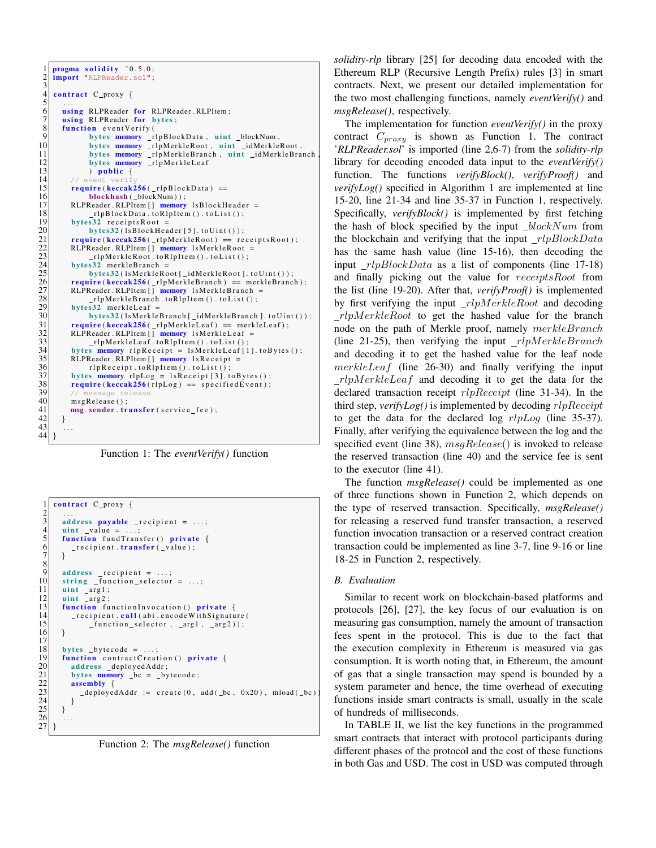

Function 1: The *eventVerify()* function

```
\frac{1}{2} contract C_proxy {
   2 | ...
  \begin{array}{ccc} 3 & \text{address payable} \\ 4 & \text{min} \\ 5 & \text{value} \end{array} = ...;
              \text{uint } \text{ value } =\begin{array}{c|c} 5 & \textbf{function} \textbf{ fundTransfer}() & \textbf{private} \end{array} {<br>
\begin{array}{c} \textbf{f} \textbf{unction} \textbf{. transfer} (\textbf{.value}); \end{array}\_recipient . 
  \tau\frac{8}{9}\begin{array}{c|c} 9 & \text{address} \\ 10 & \text{string} \end{array} function selector
\begin{array}{c|c} 10 & \text{string} \text{function} \text{=} \text{selection} = \dots; \\ 11 & \text{uint} \text{arg1}; \end{array}\begin{array}{c|c} 11 & \text{uint } \text{arg1}; \\ 12 & \text{uint } \text{arg2}: \end{array}12 ui n t a r g 2 ;
13 function function Invocation () private {<br>14 function call (abi.encode With Signatu
\begin{array}{c|c} 14 & -{\text{recipient.call(abi.encodeWithSignature}} \\ 15 & {\text{function} selector. arg1. arg2)}) : \end{array}_function_selector, _arg1, _arg2));
16 }
\frac{17}{18}\begin{array}{c|c} 18 & \text{bytes} \quad \text{bytecode} = \dots; \\ 19 & \text{function} \quad \text{contractCreate} \end{array}19<br>
19 function contractCreation () private {<br>
20<br>
19 bytes memory _bc = _bytecode;<br>
22<br>
23 deployedAddr := create (0, add(_b<br>
23
                   address _deployedAddr;
                   bytes memory \lfloor bc \rfloor = \lfloor byte code \rfloor;
                  \textbf{assembly} \{\text{\_}dephoyedAddr := \text{create}(0, \text{add}(\text{\_}bc, \text{0x20}), \text{mload}(\text{\_}bc)24 }
25 }
26
27 }
```
Function 2: The *msgRelease()* function

*solidity-rlp* library [25] for decoding data encoded with the Ethereum RLP (Recursive Length Prefix) rules [3] in smart contracts. Next, we present our detailed implementation for the two most challenging functions, namely *eventVerify()* and *msgRelease()*, respectively.

The implementation for function *eventVerify()* in the proxy contract  $C_{\text{prox}$  is shown as Function 1. The contract '*RLPReader.sol*' is imported (line 2,6-7) from the *solidity-rlp* library for decoding encoded data input to the *eventVerify()* function. The functions *verifyBlock()*, *verifyProof()* and *verifyLog()* specified in Algorithm 1 are implemented at line 15-20, line 21-34 and line 35-37 in Function 1, respectively. Specifically, *verifyBlock()* is implemented by first fetching the hash of block specified by the input  $blockNum$  from the blockchain and verifying that the input  $rlpBlockData$ has the same hash value (line 15-16), then decoding the input  $_{\text{r}}$   $\frac{1}{2}$  rlpBlockData as a list of components (line 17-18) and finally picking out the value for receiptsRoot from the list (line 19-20). After that, *verifyProof()* is implemented by first verifying the input  $rlpMerkleRoot$  and decoding  $rlpMerkleRoot$  to get the hashed value for the branch node on the path of Merkle proof, namely merkleBranch (line 21-25), then verifying the input  $_{\text{r}}$   $\mu$ *DMerkleBranch* and decoding it to get the hashed value for the leaf node  $merkleLeaf$  (line 26-30) and finally verifying the input  $_{\text{r}}$ *rlpMerkleLeaf* and decoding it to get the data for the declared transaction receipt  $rlpReceipt$  (line 31-34). In the third step, *verifyLog()* is implemented by decoding rlpReceipt to get the data for the declared log  $rlpLog$  (line 35-37). Finally, after verifying the equivalence between the log and the specified event (line 38),  $msqRelease()$  is invoked to release the reserved transaction (line 40) and the service fee is sent to the executor (line 41).

The function *msgRelease()* could be implemented as one of three functions shown in Function 2, which depends on the type of reserved transaction. Specifically, *msgRelease()* for releasing a reserved fund transfer transaction, a reserved function invocation transaction or a reserved contract creation transaction could be implemented as line 3-7, line 9-16 or line 18-25 in Function 2, respectively.

## *B. Evaluation*

Similar to recent work on blockchain-based platforms and protocols [26], [27], the key focus of our evaluation is on measuring gas consumption, namely the amount of transaction fees spent in the protocol. This is due to the fact that the execution complexity in Ethereum is measured via gas consumption. It is worth noting that, in Ethereum, the amount of gas that a single transaction may spend is bounded by a system parameter and hence, the time overhead of executing functions inside smart contracts is small, usually in the scale of hundreds of milliseconds.

In TABLE II, we list the key functions in the programmed smart contracts that interact with protocol participants during different phases of the protocol and the cost of these functions in both Gas and USD. The cost in USD was computed through